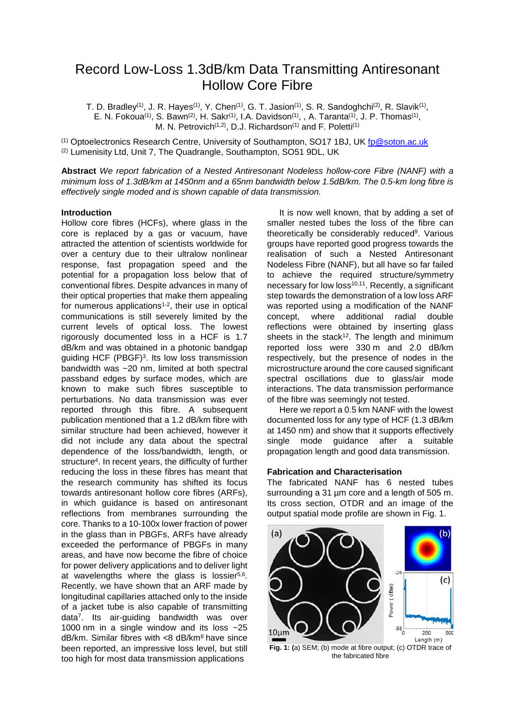# Record Low-Loss 1.3dB/km Data Transmitting Antiresonant Hollow Core Fibre

T. D. Bradley $^{(1)},$  J. R. Hayes $^{(1)},$  Y. Chen $^{(1)},$  G. T. Jasion $^{(1)},$  S. R. Sandoghchi $^{(2)},$  R. Slavik $^{(1)},$ E. N. Fokoua<sup>(1)</sup>, S. Bawn<sup>(2)</sup>, H. Sakr<sup>(1)</sup>, I.A. Davidson<sup>(1)</sup>, , A. Taranta<sup>(1)</sup>, J. P. Thomas<sup>(1)</sup>, M. N. Petrovich<sup>(1,2)</sup>, D.J. Richardson<sup>(1)</sup> and F. Poletti<sup>(1)</sup>

(1) Optoelectronics Research Centre, University of Southampton, SO17 1BJ, UK [fp@soton.ac.uk](mailto:fp@soton.ac.uk) (2) Lumenisity Ltd, Unit 7, The Quadrangle, Southampton, SO51 9DL, UK

**Abstract** *We report fabrication of a Nested Antiresonant Nodeless hollow-core Fibre (NANF) with a minimum loss of 1.3dB/km at 1450nm and a 65nm bandwidth below 1.5dB/km. The 0.5-km long fibre is effectively single moded and is shown capable of data transmission.*

### **Introduction**

Hollow core fibres (HCFs), where glass in the core is replaced by a gas or vacuum, have attracted the attention of scientists worldwide for over a century due to their ultralow nonlinear response, fast propagation speed and the potential for a propagation loss below that of conventional fibres. Despite advances in many of their optical properties that make them appealing for numerous applications $1-2$ , their use in optical communications is still severely limited by the current levels of optical loss. The lowest rigorously documented loss in a HCF is 1.7 dB/km and was obtained in a photonic bandgap guiding HCF (PBGF)3. Its low loss transmission bandwidth was ~20 nm, limited at both spectral passband edges by surface modes, which are known to make such fibres susceptible to perturbations. No data transmission was ever reported through this fibre. A subsequent publication mentioned that a 1.2 dB/km fibre with similar structure had been achieved, however it did not include any data about the spectral dependence of the loss/bandwidth, length, or structure<sup>4</sup>. In recent years, the difficulty of further reducing the loss in these fibres has meant that the research community has shifted its focus towards antiresonant hollow core fibres (ARFs), in which guidance is based on antiresonant reflections from membranes surrounding the core. Thanks to a 10-100x lower fraction of power in the glass than in PBGFs, ARFs have already exceeded the performance of PBGFs in many areas, and have now become the fibre of choice for power delivery applications and to deliver light at wavelengths where the glass is lossier $5,6$ . Recently, we have shown that an ARF made by longitudinal capillaries attached only to the inside of a jacket tube is also capable of transmitting data7. Its air-guiding bandwidth was over 1000 nm in a single window and its loss ~25  $dB/km$ . Similar fibres with <8  $dB/km$ <sup>8</sup> have since been reported, an impressive loss level, but still too high for most data transmission applications

It is now well known, that by adding a set of smaller nested tubes the loss of the fibre can theoretically be considerably reduced<sup>9</sup>. Various groups have reported good progress towards the realisation of such a Nested Antiresonant Nodeless Fibre (NANF), but all have so far failed to achieve the required structure/symmetry necessary for low  $loss^{10,11}$ . Recently, a significant step towards the demonstration of a low loss ARF was reported using a modification of the NANF concept, where additional radial double reflections were obtained by inserting glass sheets in the stack<sup>12</sup>. The length and minimum reported loss were 330 m and 2.0 dB/km respectively, but the presence of nodes in the microstructure around the core caused significant spectral oscillations due to glass/air mode interactions. The data transmission performance of the fibre was seemingly not tested.

Here we report a 0.5 km NANF with the lowest documented loss for any type of HCF (1.3 dB/km at 1450 nm) and show that it supports effectively single mode guidance after a suitable propagation length and good data transmission.

## **Fabrication and Characterisation**

The fabricated NANF has 6 nested tubes surrounding a 31 um core and a length of 505 m. Its cross section, OTDR and an image of the output spatial mode profile are shown in Fig. 1.



**Fig. 1: (**a) SEM; (b) mode at fibre output; (c) OTDR trace of the fabricated fibre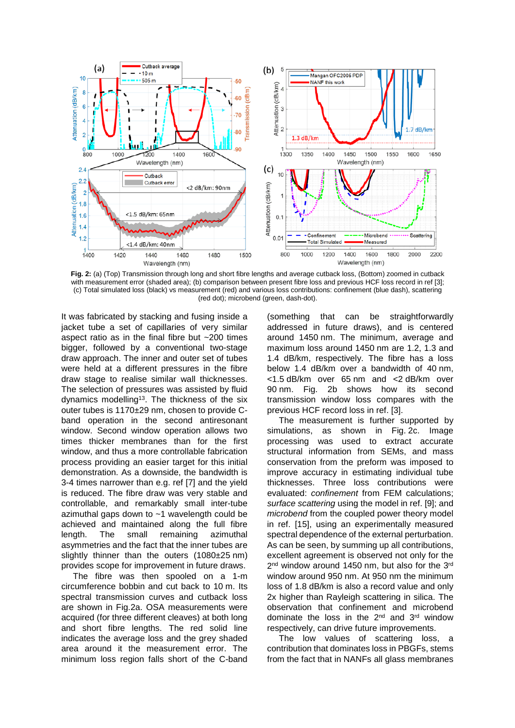

**Fig. 2:** (a) (Top) Transmission through long and short fibre lengths and average cutback loss, (Bottom) zoomed in cutback with measurement error (shaded area); (b) comparison between present fibre loss and previous HCF loss record in ref [3]; (c) Total simulated loss (black) vs measurement (red) and various loss contributions: confinement (blue dash), scattering (red dot); microbend (green, dash-dot).

It was fabricated by stacking and fusing inside a jacket tube a set of capillaries of very similar aspect ratio as in the final fibre but ~200 times bigger, followed by a conventional two-stage draw approach. The inner and outer set of tubes were held at a different pressures in the fibre draw stage to realise similar wall thicknesses. The selection of pressures was assisted by fluid dynamics modelling<sup>13</sup>. The thickness of the six outer tubes is 1170±29 nm, chosen to provide Cband operation in the second antiresonant window. Second window operation allows two times thicker membranes than for the first window, and thus a more controllable fabrication process providing an easier target for this initial demonstration. As a downside, the bandwidth is 3-4 times narrower than e.g. ref [7] and the yield is reduced. The fibre draw was very stable and controllable, and remarkably small inter-tube azimuthal gaps down to ~1 wavelength could be achieved and maintained along the full fibre length. The small remaining azimuthal asymmetries and the fact that the inner tubes are slightly thinner than the outers (1080±25 nm) provides scope for improvement in future draws.

The fibre was then spooled on a 1-m circumference bobbin and cut back to 10 m. Its spectral transmission curves and cutback loss are shown in Fig.2a. OSA measurements were acquired (for three different cleaves) at both long and short fibre lengths. The red solid line indicates the average loss and the grey shaded area around it the measurement error. The minimum loss region falls short of the C-band

(something that can be straightforwardly addressed in future draws), and is centered around 1450 nm. The minimum, average and maximum loss around 1450 nm are 1.2, 1.3 and 1.4 dB/km, respectively. The fibre has a loss below 1.4 dB/km over a bandwidth of 40 nm, <1.5 dB/km over 65 nm and <2 dB/km over 90 nm. Fig. 2b shows how its second transmission window loss compares with the previous HCF record loss in ref. [3].

The measurement is further supported by simulations, as shown in Fig. 2c. Image processing was used to extract accurate structural information from SEMs, and mass conservation from the preform was imposed to improve accuracy in estimating individual tube thicknesses. Three loss contributions were evaluated: *confinement* from FEM calculations; *surface scattering* using the model in ref. [9]; and *microbend* from the coupled power theory model in ref. [15], using an experimentally measured spectral dependence of the external perturbation. As can be seen, by summing up all contributions, excellent agreement is observed not only for the 2<sup>nd</sup> window around 1450 nm, but also for the 3<sup>rd</sup> window around 950 nm. At 950 nm the minimum loss of 1.8 dB/km is also a record value and only 2x higher than Rayleigh scattering in silica. The observation that confinement and microbend dominate the loss in the  $2<sup>nd</sup>$  and  $3<sup>rd</sup>$  window respectively, can drive future improvements.

The low values of scattering loss, a contribution that dominates loss in PBGFs, stems from the fact that in NANFs all glass membranes